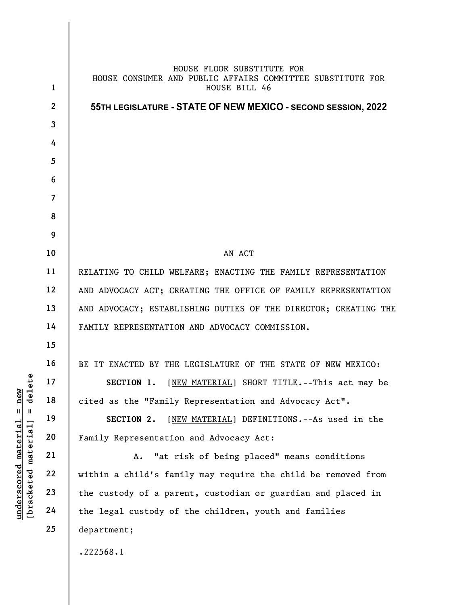|                                              | $\mathbf{1}$   | HOUSE FLOOR SUBSTITUTE FOR<br>HOUSE CONSUMER AND PUBLIC AFFAIRS COMMITTEE SUBSTITUTE FOR<br>HOUSE BILL 46 |
|----------------------------------------------|----------------|-----------------------------------------------------------------------------------------------------------|
|                                              | $\mathbf{2}$   | 55TH LEGISLATURE - STATE OF NEW MEXICO - SECOND SESSION, 2022                                             |
|                                              | 3              |                                                                                                           |
|                                              | 4              |                                                                                                           |
|                                              | 5              |                                                                                                           |
|                                              | 6              |                                                                                                           |
|                                              | $\overline{7}$ |                                                                                                           |
|                                              | 8              |                                                                                                           |
|                                              | 9              |                                                                                                           |
|                                              | 10             | AN ACT                                                                                                    |
|                                              | 11             | RELATING TO CHILD WELFARE; ENACTING THE FAMILY REPRESENTATION                                             |
|                                              | 12             | AND ADVOCACY ACT; CREATING THE OFFICE OF FAMILY REPRESENTATION                                            |
|                                              | 13             | AND ADVOCACY; ESTABLISHING DUTIES OF THE DIRECTOR; CREATING THE                                           |
|                                              | 14             | FAMILY REPRESENTATION AND ADVOCACY COMMISSION.                                                            |
|                                              | 15             |                                                                                                           |
|                                              | 16             | BE IT ENACTED BY THE LEGISLATURE OF THE STATE OF NEW MEXICO:                                              |
| ete                                          | 17             | SECTION 1. [NEW MATERIAL] SHORT TITLE. -- This act may be                                                 |
| $= \frac{new}{de16}$                         | 18             | cited as the "Family Representation and Advocacy Act".                                                    |
|                                              | 19             | [NEW MATERIAL] DEFINITIONS. -- As used in the<br>SECTION 2.                                               |
| underscored material<br>[bracketed material] | 20             | Family Representation and Advocacy Act:                                                                   |
|                                              | 21             | "at risk of being placed" means conditions<br>Α.                                                          |
|                                              | 22             | within a child's family may require the child be removed from                                             |
|                                              | 23             | the custody of a parent, custodian or guardian and placed in                                              |
|                                              | 24             | the legal custody of the children, youth and families                                                     |
|                                              | 25             | department;                                                                                               |
|                                              |                | .222568.1                                                                                                 |
|                                              |                |                                                                                                           |

 $\overline{\phantom{a}}$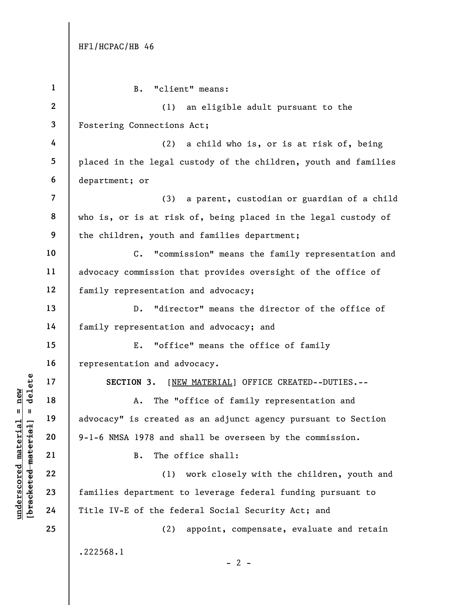| $\mathbf{1}$             | "client" means:<br>$B$ .                                           |
|--------------------------|--------------------------------------------------------------------|
| $\boldsymbol{2}$         | (1)<br>an eligible adult pursuant to the                           |
| 3                        | Fostering Connections Act;                                         |
| 4                        | (2)<br>a child who is, or is at risk of, being                     |
| 5                        | placed in the legal custody of the children, youth and families    |
| 6                        | department; or                                                     |
| $\overline{\mathcal{L}}$ | (3) a parent, custodian or guardian of a child                     |
| 8                        | who is, or is at risk of, being placed in the legal custody of     |
| 9                        | the children, youth and families department;                       |
| 10                       | "commission" means the family representation and<br>$\mathsf{C}$ . |
| 11                       | advocacy commission that provides oversight of the office of       |
| 12                       | family representation and advocacy;                                |
| 13                       | "director" means the director of the office of<br>$D$ .            |
| 14                       | family representation and advocacy; and                            |
| 15                       | "office" means the office of family<br>Ε.                          |
| 16                       | representation and advocacy.                                       |
| 17                       | SECTION 3. [NEW MATERIAL] OFFICE CREATED--DUTIES.--                |
| 18                       | The "office of family representation and<br>Α.                     |
| 19                       | advocacy" is created as an adjunct agency pursuant to Section      |
| 20                       | 9-1-6 NMSA 1978 and shall be overseen by the commission.           |
| 21                       | The office shall:<br><b>B.</b>                                     |
| 22                       | (1) work closely with the children, youth and                      |
| 23                       | families department to leverage federal funding pursuant to        |
| 24                       | Title IV-E of the federal Social Security Act; and                 |
| 25                       | appoint, compensate, evaluate and retain<br>(2)                    |
|                          | .222568.1<br>$-2$ -                                                |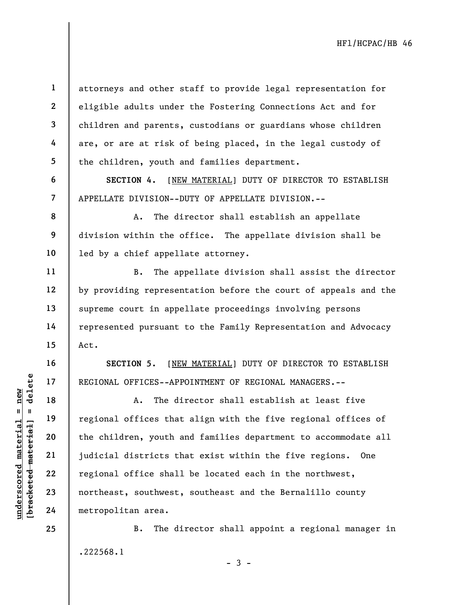attorneys and other staff to provide legal representation for eligible adults under the Fostering Connections Act and for children and parents, custodians or guardians whose children are, or are at risk of being placed, in the legal custody of the children, youth and families department.

SECTION 4. [NEW MATERIAL] DUTY OF DIRECTOR TO ESTABLISH APPELLATE DIVISION--DUTY OF APPELLATE DIVISION.--

A. The director shall establish an appellate division within the office. The appellate division shall be led by a chief appellate attorney.

B. The appellate division shall assist the director by providing representation before the court of appeals and the supreme court in appellate proceedings involving persons represented pursuant to the Family Representation and Advocacy Act.

SECTION 5. [NEW MATERIAL] DUTY OF DIRECTOR TO ESTABLISH REGIONAL OFFICES--APPOINTMENT OF REGIONAL MANAGERS.--

understand material material end of the children, youth a<br>
weight a complete material of the children, youth a<br>
weight 22<br>
understand the children, youth a<br>
22<br>
understand material metropolitan area. A. The director shall establish at least five regional offices that align with the five regional offices of the children, youth and families department to accommodate all judicial districts that exist within the five regions. One regional office shall be located each in the northwest, northeast, southwest, southeast and the Bernalillo county metropolitan area.

> B. The director shall appoint a regional manager in .222568.1

> > $-3 -$

1

2

3

4

5

6

7

8

9

10

11

12

13

14

15

16

17

18

19

20

21

22

23

24

25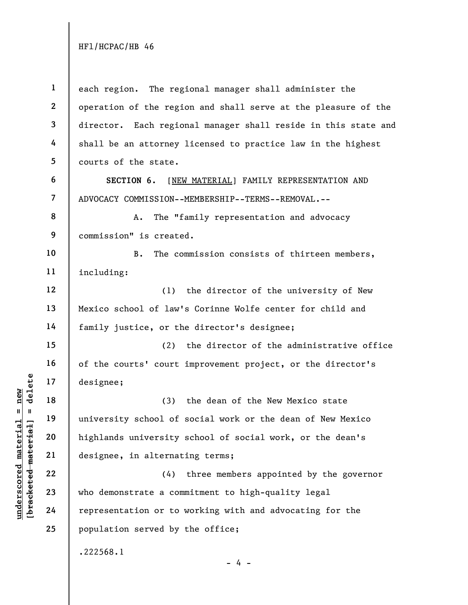understand material material exists a complement of the same of the same of the same of the same of the same of the same of the same of the same of the same of the same of the same of the same of the same of the same of th 1 2 3 4 5 6 7 8 9 10 11 12 13 14 15 16 17 18 19 20 21 22 23 24 25 each region. The regional manager shall administer the operation of the region and shall serve at the pleasure of the director. Each regional manager shall reside in this state and shall be an attorney licensed to practice law in the highest courts of the state. SECTION 6. [NEW MATERIAL] FAMILY REPRESENTATION AND ADVOCACY COMMISSION--MEMBERSHIP--TERMS--REMOVAL.-- A. The "family representation and advocacy commission" is created. B. The commission consists of thirteen members, including: (1) the director of the university of New Mexico school of law's Corinne Wolfe center for child and family justice, or the director's designee; (2) the director of the administrative office of the courts' court improvement project, or the director's designee; (3) the dean of the New Mexico state university school of social work or the dean of New Mexico highlands university school of social work, or the dean's designee, in alternating terms; (4) three members appointed by the governor who demonstrate a commitment to high-quality legal representation or to working with and advocating for the population served by the office; .222568.1  $- 4 -$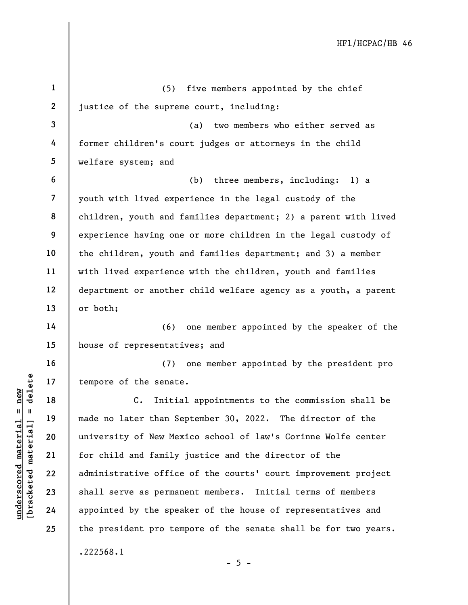|                                               | $\mathbf{1}$ | five members appointed by the chief<br>(5)                       |
|-----------------------------------------------|--------------|------------------------------------------------------------------|
|                                               | $\mathbf{2}$ | justice of the supreme court, including:                         |
|                                               | $\mathbf{3}$ |                                                                  |
|                                               |              | two members who either served as<br>(a)                          |
|                                               | 4            | former children's court judges or attorneys in the child         |
|                                               | 5            | welfare system; and                                              |
|                                               | 6            | three members, including: 1) a<br>(b)                            |
|                                               | 7            | youth with lived experience in the legal custody of the          |
|                                               | 8            | children, youth and families department; 2) a parent with lived  |
|                                               | 9            | experience having one or more children in the legal custody of   |
|                                               | 10           | the children, youth and families department; and 3) a member     |
|                                               | 11           | with lived experience with the children, youth and families      |
|                                               | 12           | department or another child welfare agency as a youth, a parent  |
|                                               | 13           | or both;                                                         |
|                                               | 14           | one member appointed by the speaker of the<br>(6)                |
|                                               | 15           | house of representatives; and                                    |
|                                               | 16           | one member appointed by the president pro<br>(7)                 |
| delete                                        | 17           | tempore of the senate.                                           |
| new                                           | 18           | $C_{\bullet}$<br>Initial appointments to the commission shall be |
| $\mathbf{u}$<br>- II                          | 19           | made no later than September 30, 2022. The director of the       |
|                                               | 20           | university of New Mexico school of law's Corinne Wolfe center    |
|                                               | 21           | for child and family justice and the director of the             |
| $underscored$ material<br>[bracketed material | 22           | administrative office of the courts' court improvement project   |
|                                               | 23           | shall serve as permanent members. Initial terms of members       |
|                                               | 24           | appointed by the speaker of the house of representatives and     |
|                                               | 25           | the president pro tempore of the senate shall be for two years.  |
|                                               |              | .222568.1<br>- 5 -                                               |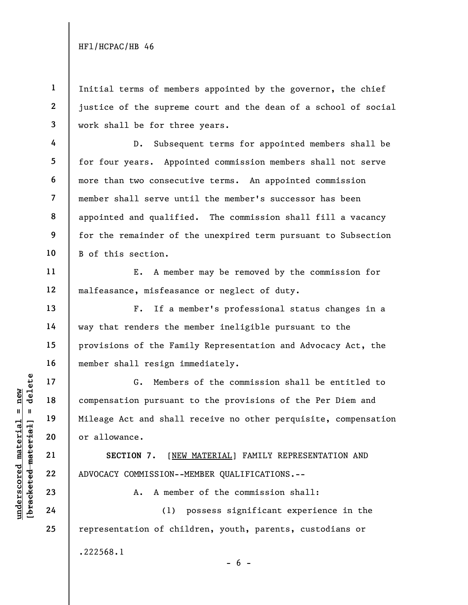4

5

6

7

8

9

10

11

12

13

14

15

16

17

18

19

20

21

22

23

24

25

1 2 3 Initial terms of members appointed by the governor, the chief justice of the supreme court and the dean of a school of social work shall be for three years.

D. Subsequent terms for appointed members shall be for four years. Appointed commission members shall not serve more than two consecutive terms. An appointed commission member shall serve until the member's successor has been appointed and qualified. The commission shall fill a vacancy for the remainder of the unexpired term pursuant to Subsection B of this section.

E. A member may be removed by the commission for malfeasance, misfeasance or neglect of duty.

F. If a member's professional status changes in a way that renders the member ineligible pursuant to the provisions of the Family Representation and Advocacy Act, the member shall resign immediately.

UNDER 17<br>
UNDER 18<br>
UNIE 19<br>
UNIE 19<br>
UNIE 19<br>
UNIE 19<br>
UNIE 19<br>
OF ALOVACY COMMISSION---<br>
COMMISSION---<br>
COMMISSION---<br>
COMMISSION---<br>
COMMISSION---<br>
COMMISSION---<br>
COMMISSION---<br>
COMMISSION---<br>
COMMISSION---<br>
COMMISSION-G. Members of the commission shall be entitled to compensation pursuant to the provisions of the Per Diem and Mileage Act and shall receive no other perquisite, compensation or allowance.

SECTION 7. [NEW MATERIAL] FAMILY REPRESENTATION AND ADVOCACY COMMISSION--MEMBER QUALIFICATIONS.--

A. A member of the commission shall:

(1) possess significant experience in the representation of children, youth, parents, custodians or .222568.1  $- 6 -$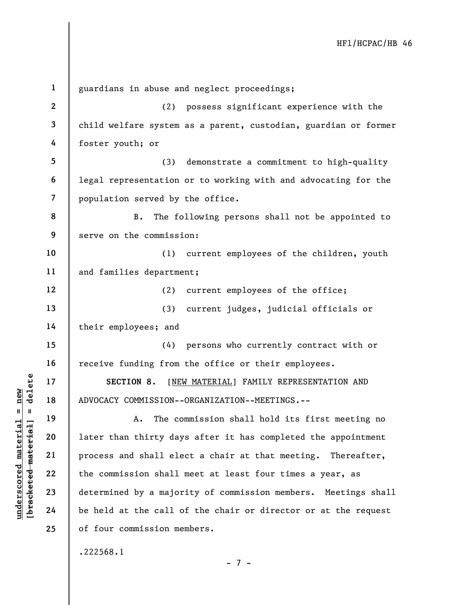UN SECTION 8. [NET ]<br>
17 18 ADVOCACY COMMISSION---<br>
19 19 A. The complement of the COMMISSION---<br>
21 process and shall ele<br>
22 the commission shall<br>
23 determined by a major<br>
24 be held at the call c 1 2 3 4 5 6 7 8 9 10 11 12 13 14 15 16 17 18 19 20 21 22 23 24 25 guardians in abuse and neglect proceedings; (2) possess significant experience with the child welfare system as a parent, custodian, guardian or former foster youth; or (3) demonstrate a commitment to high-quality legal representation or to working with and advocating for the population served by the office. B. The following persons shall not be appointed to serve on the commission: (1) current employees of the children, youth and families department; (2) current employees of the office; (3) current judges, judicial officials or their employees; and (4) persons who currently contract with or receive funding from the office or their employees. SECTION 8. [NEW MATERIAL] FAMILY REPRESENTATION AND ADVOCACY COMMISSION--ORGANIZATION--MEETINGS.-- A. The commission shall hold its first meeting no later than thirty days after it has completed the appointment process and shall elect a chair at that meeting. Thereafter, the commission shall meet at least four times a year, as determined by a majority of commission members. Meetings shall be held at the call of the chair or director or at the request of four commission members. .222568.1

- 7 -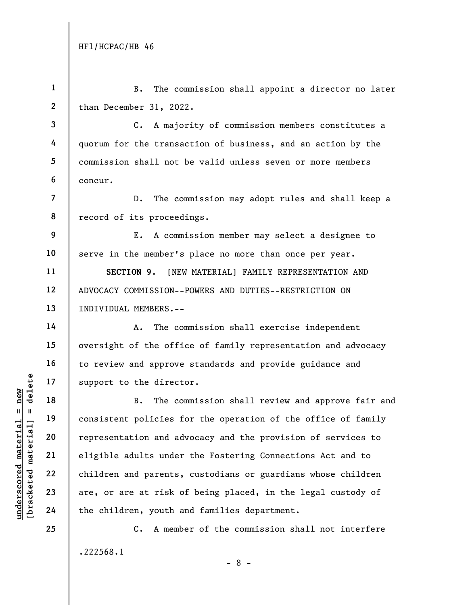1

2 3 4 5 6 7 8 9 10 11 12 13 14 15 16 17 than December 31, 2022. C. A majority of commission members constitutes a quorum for the transaction of business, and an action by the commission shall not be valid unless seven or more members concur. D. The commission may adopt rules and shall keep a record of its proceedings. E. A commission member may select a designee to serve in the member's place no more than once per year. SECTION 9. [NEW MATERIAL] FAMILY REPRESENTATION AND ADVOCACY COMMISSION--POWERS AND DUTIES--RESTRICTION ON INDIVIDUAL MEMBERS.-- A. The commission shall exercise independent oversight of the office of family representation and advocacy to review and approve standards and provide guidance and support to the director.

B. The commission shall appoint a director no later

understand material material end and the direct<br>
support to the direct<br>  $\begin{array}{c|c|c|c|c} \hline \text{u} & \text{u} & \text{u} & \text{u} & \text{u} \\ \hline \text{u} & \text{u} & \text{u} & \text{u} & \text{u} \\ \hline \text{u} & \text{u} & \text{u} & \text{u} & \text{u} \\ \hline \text{u} & \text{u} & \text{u} & \text{u} & \text{u} \\ \h$ B. The commission shall review and approve fair and consistent policies for the operation of the office of family representation and advocacy and the provision of services to eligible adults under the Fostering Connections Act and to children and parents, custodians or guardians whose children are, or are at risk of being placed, in the legal custody of the children, youth and families department.

> C. A member of the commission shall not interfere .222568.1 - 8 -

18

19

20

21

22

23

24

25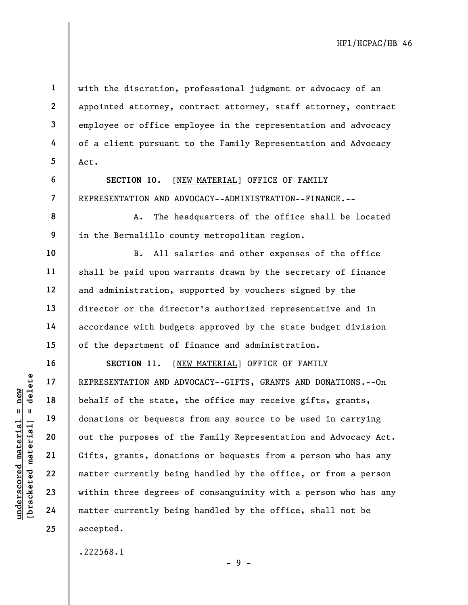with the discretion, professional judgment or advocacy of an appointed attorney, contract attorney, staff attorney, contract employee or office employee in the representation and advocacy of a client pursuant to the Family Representation and Advocacy Act.

SECTION 10. [NEW MATERIAL] OFFICE OF FAMILY REPRESENTATION AND ADVOCACY--ADMINISTRATION--FINANCE.--

A. The headquarters of the office shall be located in the Bernalillo county metropolitan region.

B. All salaries and other expenses of the office shall be paid upon warrants drawn by the secretary of finance and administration, supported by vouchers signed by the director or the director's authorized representative and in accordance with budgets approved by the state budget division of the department of finance and administration.

under 17<br>
= 18<br>
= 18<br>
= 19<br>
= 19<br>
= 19<br>
= 19<br>
= 19<br>
= 19<br>
= 19<br>
= 19<br>
= 19<br>
= 19<br>
= 19<br>
= 19<br>
= 19<br>
= 19<br>
= 19<br>
= 19<br>
= 19<br>
= 19<br>
= 19<br>
= 19<br>
= 19<br>
= 19<br>
= 19<br>
= 19<br>
= 19<br>
= 19<br>
= 19<br>
= 19<br>
= 19<br>
= 19<br>
= 19<br>
= 19<br>
= 19<br>
= SECTION 11. [NEW MATERIAL] OFFICE OF FAMILY REPRESENTATION AND ADVOCACY--GIFTS, GRANTS AND DONATIONS.--On behalf of the state, the office may receive gifts, grants, donations or bequests from any source to be used in carrying out the purposes of the Family Representation and Advocacy Act. Gifts, grants, donations or bequests from a person who has any matter currently being handled by the office, or from a person within three degrees of consanguinity with a person who has any matter currently being handled by the office, shall not be accepted.

- 9 -

.222568.1

1

2

3

4

5

6

7

8

9

10

11

12

13

14

15

16

17

18

19

20

21

22

23

24

25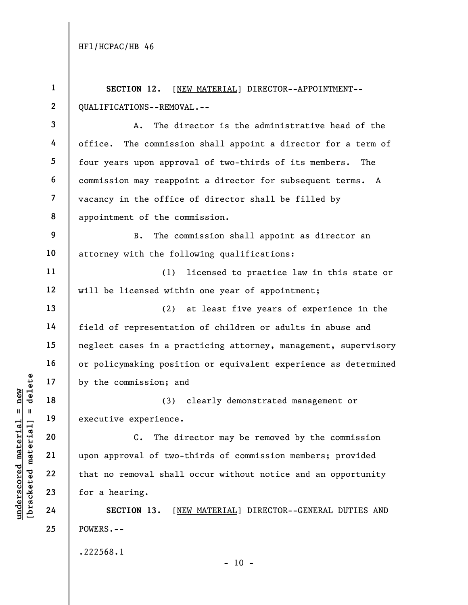1

2

Understand material experience.<br>
The new two is the commission; and<br>  $\begin{array}{ccc}\n\frac{1}{2} & \frac{1}{2} & \frac{1}{2} \\
\frac{1}{2} & \frac{1}{2} & \frac{1}{2} \\
\frac{1}{2} & \frac{1}{2} & \frac{1}{2} \\
\frac{1}{2} & \frac{1}{2} & \frac{1}{2} \\
\frac{1}{2} & \frac{1}{2} & \frac{1}{2} \\
\frac{1}{2} & \frac{1}{2} & \frac{1}{2} \\$ 3 4 5 6 7 8 9 10 11 12 13 14 15 16 17 18 19 20 21 22 23 24 25 QUALIFICATIONS--REMOVAL.-- A. The director is the administrative head of the office. The commission shall appoint a director for a term of four years upon approval of two-thirds of its members. The commission may reappoint a director for subsequent terms. A vacancy in the office of director shall be filled by appointment of the commission. B. The commission shall appoint as director an attorney with the following qualifications: (1) licensed to practice law in this state or will be licensed within one year of appointment; (2) at least five years of experience in the field of representation of children or adults in abuse and neglect cases in a practicing attorney, management, supervisory or policymaking position or equivalent experience as determined by the commission; and (3) clearly demonstrated management or executive experience. C. The director may be removed by the commission upon approval of two-thirds of commission members; provided that no removal shall occur without notice and an opportunity for a hearing. SECTION 13. [NEW MATERIAL] DIRECTOR--GENERAL DUTIES AND POWERS.-- .222568.1  $- 10 -$ 

SECTION 12. [NEW MATERIAL] DIRECTOR--APPOINTMENT--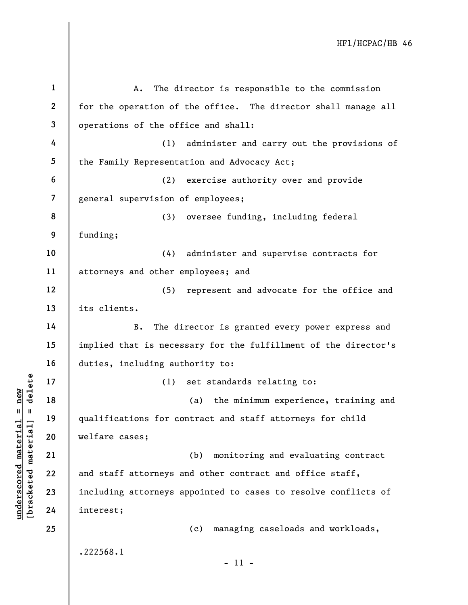| $\mathbf{1}$            | The director is responsible to the commission<br>Α.             |
|-------------------------|-----------------------------------------------------------------|
| $\boldsymbol{2}$        | for the operation of the office. The director shall manage all  |
| 3                       | operations of the office and shall:                             |
| 4                       | (1)<br>administer and carry out the provisions of               |
| 5                       | the Family Representation and Advocacy Act;                     |
| 6                       | exercise authority over and provide<br>(2)                      |
| $\overline{\mathbf{z}}$ | general supervision of employees;                               |
| 8                       | (3)<br>oversee funding, including federal                       |
| 9                       | funding;                                                        |
| 10                      | (4)<br>administer and supervise contracts for                   |
| 11                      | attorneys and other employees; and                              |
| 12                      | (5)<br>represent and advocate for the office and                |
| 13                      | its clients.                                                    |
| 14                      | The director is granted every power express and<br>B.           |
| 15                      | implied that is necessary for the fulfillment of the director's |
| 16                      | duties, including authority to:                                 |
| 17                      | set standards relating to:<br>(1)                               |
| 18                      | the minimum experience, training and<br>(a)                     |
| 19                      | qualifications for contract and staff attorneys for child       |
| 20                      | welfare cases;                                                  |
| 21                      | monitoring and evaluating contract<br>(b)                       |
| 22                      | and staff attorneys and other contract and office staff,        |
| 23                      | including attorneys appointed to cases to resolve conflicts of  |
| 24                      | interest;                                                       |
| 25                      | managing caseloads and workloads,<br>(c)                        |
|                         | .222568.1<br>$-11 -$                                            |

 $\frac{\text{underscored material = new}}{\text{theredef} + \text{theref}}$  = delete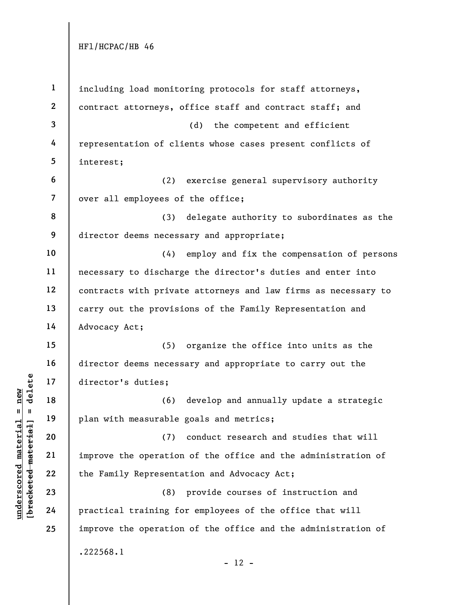| $\mathbf{1}$             | including load monitoring protocols for staff attorneys,       |
|--------------------------|----------------------------------------------------------------|
| $\mathbf{2}$             | contract attorneys, office staff and contract staff; and       |
| $\mathbf{3}$             | (d) the competent and efficient                                |
| 4                        | representation of clients whose cases present conflicts of     |
| 5                        | interest;                                                      |
| 6                        | (2)<br>exercise general supervisory authority                  |
| $\overline{\phantom{a}}$ | over all employees of the office;                              |
| 8                        | delegate authority to subordinates as the<br>(3)               |
| 9                        | director deems necessary and appropriate;                      |
| 10                       | (4)<br>employ and fix the compensation of persons              |
| 11                       | necessary to discharge the director's duties and enter into    |
| 12                       | contracts with private attorneys and law firms as necessary to |
| 13                       | carry out the provisions of the Family Representation and      |
| 14                       | Advocacy Act;                                                  |
| 15                       | (5) organize the office into units as the                      |
| 16                       | director deems necessary and appropriate to carry out the      |
| 17                       | director's duties;                                             |
| 18                       | develop and annually update a strategic<br>(6)                 |
| 19                       | plan with measurable goals and metrics;                        |
| 20                       | conduct research and studies that will<br>(7)                  |
| 21                       | improve the operation of the office and the administration of  |
| 22                       | the Family Representation and Advocacy Act;                    |
| 23                       | (8)<br>provide courses of instruction and                      |
| 24                       | practical training for employees of the office that will       |
| 25                       | improve the operation of the office and the administration of  |
|                          | .222568.1                                                      |
|                          | $-12 -$                                                        |

 $\frac{\text{underscored material = new}}{\text{beac detected-matter}+\text{d}}$  = delete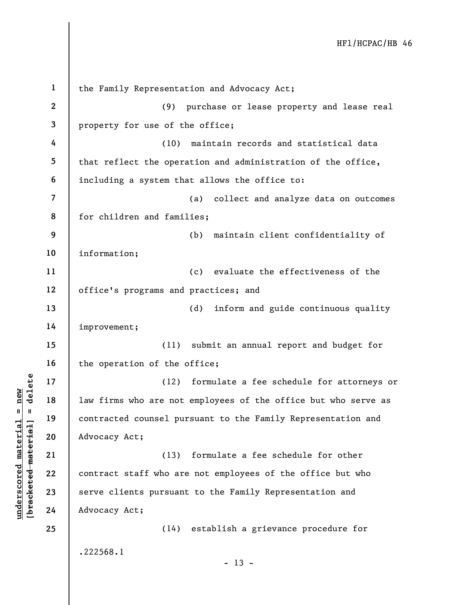underscored the material of the same of the same of the same of the same of the same of the same of the same of the same of the same of the same of the same of the same of the same of the same of the same of the same of th 1 2 3 4 5 6 7 8 9 10 11 12 13 14 15 16 17 18 19 20 21 22 23 24 25 the Family Representation and Advocacy Act; (9) purchase or lease property and lease real property for use of the office; (10) maintain records and statistical data that reflect the operation and administration of the office, including a system that allows the office to: (a) collect and analyze data on outcomes for children and families; (b) maintain client confidentiality of information; (c) evaluate the effectiveness of the office's programs and practices; and (d) inform and guide continuous quality improvement; (11) submit an annual report and budget for the operation of the office; (12) formulate a fee schedule for attorneys or law firms who are not employees of the office but who serve as contracted counsel pursuant to the Family Representation and Advocacy Act; (13) formulate a fee schedule for other contract staff who are not employees of the office but who serve clients pursuant to the Family Representation and Advocacy Act; (14) establish a grievance procedure for .222568.1  $- 13 -$